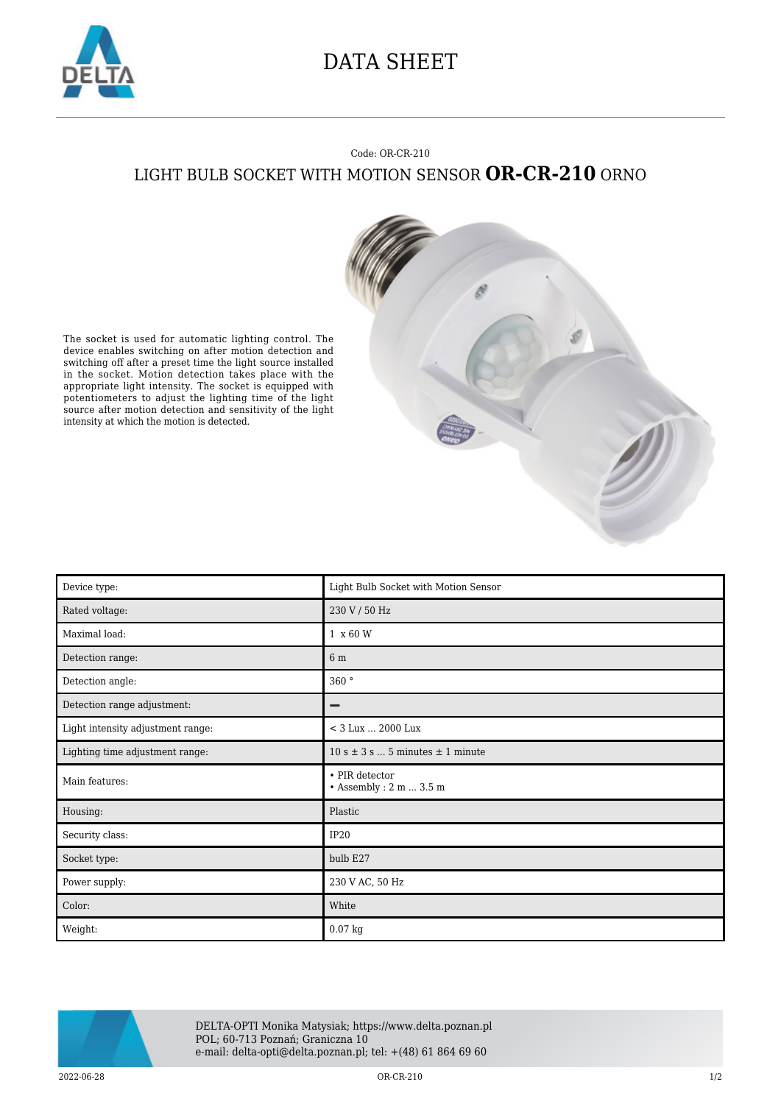

## DATA SHEET

## Code: OR-CR-210 LIGHT BULB SOCKET WITH MOTION SENSOR **OR-CR-210** ORNO



The socket is used for automatic lighting control. The device enables switching on after motion detection and switching off after a preset time the light source installed in the socket. Motion detection takes place with the appropriate light intensity. The socket is equipped with potentiometers to adjust the lighting time of the light source after motion detection and sensitivity of the light intensity at which the motion is detected.

| Device type:                      | Light Bulb Socket with Motion Sensor                  |
|-----------------------------------|-------------------------------------------------------|
| Rated voltage:                    | 230 V / 50 Hz                                         |
| Maximal load:                     | 1 x 60 W                                              |
| Detection range:                  | 6 m                                                   |
| Detection angle:                  | 360°                                                  |
| Detection range adjustment:       | -                                                     |
| Light intensity adjustment range: | < 3 Lux  2000 Lux                                     |
| Lighting time adjustment range:   | $10 s \pm 3 s  5$ minutes $\pm 1$ minute              |
| Main features:                    | • PIR detector<br><br>• Assembly : 2 m $\ldots$ 3.5 m |
| Housing:                          | Plastic                                               |
| Security class:                   | IP <sub>20</sub>                                      |
| Socket type:                      | bulb E27                                              |
| Power supply:                     | 230 V AC, 50 Hz                                       |
| Color:                            | White                                                 |
| Weight:                           | 0.07 kg                                               |